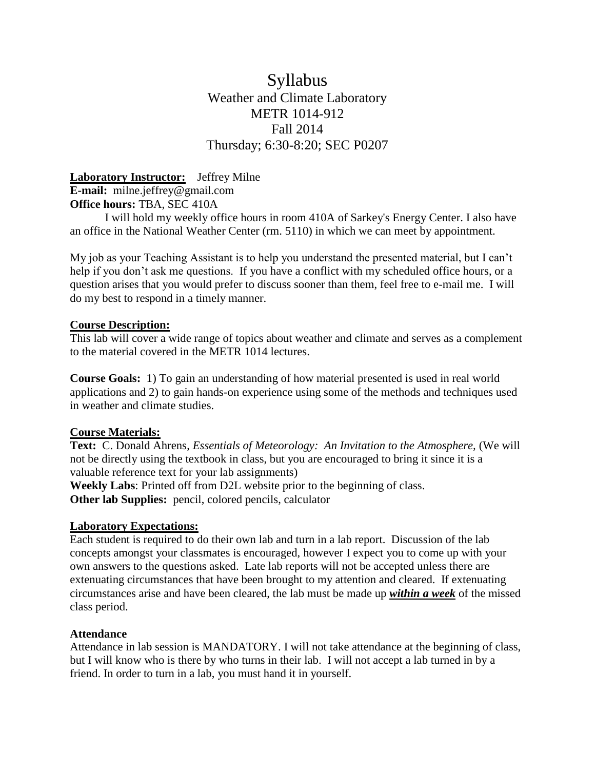# Syllabus Weather and Climate Laboratory METR 1014-912 Fall 2014 Thursday; 6:30-8:20; SEC P0207

**Laboratory Instructor:** Jeffrey Milne **E-mail:** milne.jeffrey@gmail.com **Office hours:** TBA, SEC 410A

I will hold my weekly office hours in room 410A of Sarkey's Energy Center. I also have an office in the National Weather Center (rm. 5110) in which we can meet by appointment.

My job as your Teaching Assistant is to help you understand the presented material, but I can't help if you don't ask me questions. If you have a conflict with my scheduled office hours, or a question arises that you would prefer to discuss sooner than them, feel free to e-mail me. I will do my best to respond in a timely manner.

# **Course Description:**

This lab will cover a wide range of topics about weather and climate and serves as a complement to the material covered in the METR 1014 lectures.

**Course Goals:** 1) To gain an understanding of how material presented is used in real world applications and 2) to gain hands-on experience using some of the methods and techniques used in weather and climate studies.

# **Course Materials:**

**Text:** C. Donald Ahrens, *Essentials of Meteorology: An Invitation to the Atmosphere,* (We will not be directly using the textbook in class, but you are encouraged to bring it since it is a valuable reference text for your lab assignments)

**Weekly Labs**: Printed off from D2L website prior to the beginning of class. **Other lab Supplies:** pencil, colored pencils, calculator

### **Laboratory Expectations:**

Each student is required to do their own lab and turn in a lab report. Discussion of the lab concepts amongst your classmates is encouraged, however I expect you to come up with your own answers to the questions asked. Late lab reports will not be accepted unless there are extenuating circumstances that have been brought to my attention and cleared. If extenuating circumstances arise and have been cleared, the lab must be made up *within a week* of the missed class period.

#### **Attendance**

Attendance in lab session is MANDATORY. I will not take attendance at the beginning of class, but I will know who is there by who turns in their lab. I will not accept a lab turned in by a friend. In order to turn in a lab, you must hand it in yourself.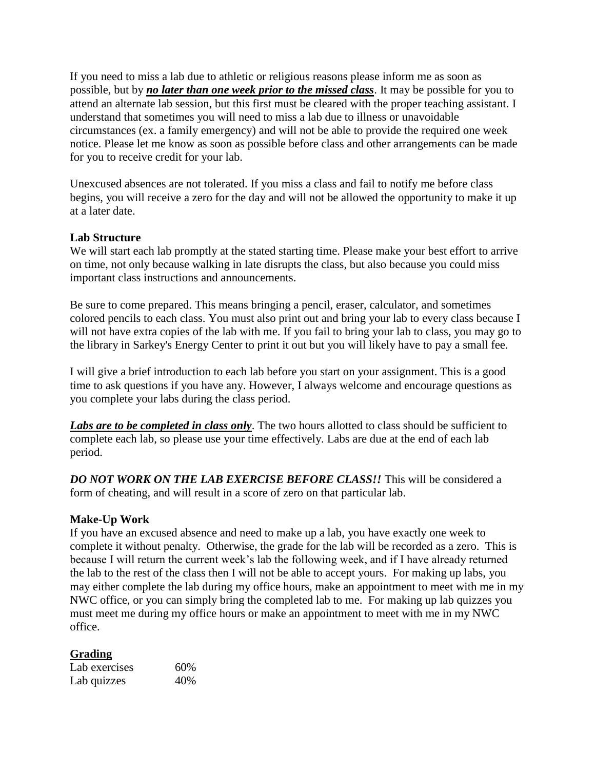If you need to miss a lab due to athletic or religious reasons please inform me as soon as possible, but by *no later than one week prior to the missed class*. It may be possible for you to attend an alternate lab session, but this first must be cleared with the proper teaching assistant. I understand that sometimes you will need to miss a lab due to illness or unavoidable circumstances (ex. a family emergency) and will not be able to provide the required one week notice. Please let me know as soon as possible before class and other arrangements can be made for you to receive credit for your lab.

Unexcused absences are not tolerated. If you miss a class and fail to notify me before class begins, you will receive a zero for the day and will not be allowed the opportunity to make it up at a later date.

# **Lab Structure**

We will start each lab promptly at the stated starting time. Please make your best effort to arrive on time, not only because walking in late disrupts the class, but also because you could miss important class instructions and announcements.

Be sure to come prepared. This means bringing a pencil, eraser, calculator, and sometimes colored pencils to each class. You must also print out and bring your lab to every class because I will not have extra copies of the lab with me. If you fail to bring your lab to class, you may go to the library in Sarkey's Energy Center to print it out but you will likely have to pay a small fee.

I will give a brief introduction to each lab before you start on your assignment. This is a good time to ask questions if you have any. However, I always welcome and encourage questions as you complete your labs during the class period.

*Labs are to be completed in class only*. The two hours allotted to class should be sufficient to complete each lab, so please use your time effectively. Labs are due at the end of each lab period.

*DO NOT WORK ON THE LAB EXERCISE BEFORE CLASS!!* This will be considered a form of cheating, and will result in a score of zero on that particular lab.

# **Make-Up Work**

If you have an excused absence and need to make up a lab, you have exactly one week to complete it without penalty. Otherwise, the grade for the lab will be recorded as a zero. This is because I will return the current week's lab the following week, and if I have already returned the lab to the rest of the class then I will not be able to accept yours. For making up labs, you may either complete the lab during my office hours, make an appointment to meet with me in my NWC office, or you can simply bring the completed lab to me. For making up lab quizzes you must meet me during my office hours or make an appointment to meet with me in my NWC office.

# **Grading**

| Lab exercises | 60% |
|---------------|-----|
| Lab quizzes   | 40% |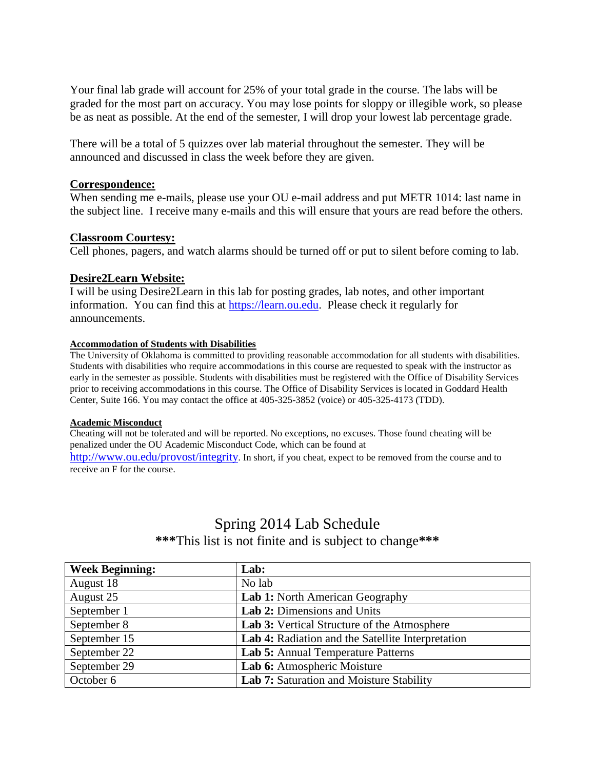Your final lab grade will account for 25% of your total grade in the course. The labs will be graded for the most part on accuracy. You may lose points for sloppy or illegible work, so please be as neat as possible. At the end of the semester, I will drop your lowest lab percentage grade.

There will be a total of 5 quizzes over lab material throughout the semester. They will be announced and discussed in class the week before they are given.

#### **Correspondence:**

When sending me e-mails, please use your OU e-mail address and put METR 1014: last name in the subject line. I receive many e-mails and this will ensure that yours are read before the others.

### **Classroom Courtesy:**

Cell phones, pagers, and watch alarms should be turned off or put to silent before coming to lab.

### **Desire2Learn Website:**

I will be using Desire2Learn in this lab for posting grades, lab notes, and other important information. You can find this at [https://learn.ou.edu.](https://learn.ou.edu/) Please check it regularly for announcements.

#### **Accommodation of Students with Disabilities**

The University of Oklahoma is committed to providing reasonable accommodation for all students with disabilities. Students with disabilities who require accommodations in this course are requested to speak with the instructor as early in the semester as possible. Students with disabilities must be registered with the Office of Disability Services prior to receiving accommodations in this course. The Office of Disability Services is located in Goddard Health Center, Suite 166. You may contact the office at 405-325-3852 (voice) or 405-325-4173 (TDD).

#### **Academic Misconduct**

Cheating will not be tolerated and will be reported. No exceptions, no excuses. Those found cheating will be penalized under the OU Academic Misconduct Code, which can be found at

<http://www.ou.edu/provost/integrity>. In short, if you cheat, expect to be removed from the course and to receive an F for the course.

# Spring 2014 Lab Schedule **\*\*\***This list is not finite and is subject to change**\*\*\***

| <b>Week Beginning:</b> | Lab:                                              |
|------------------------|---------------------------------------------------|
| August 18              | No lab                                            |
| August 25              | Lab 1: North American Geography                   |
| September 1            | Lab 2: Dimensions and Units                       |
| September 8            | Lab 3: Vertical Structure of the Atmosphere       |
| September 15           | Lab 4: Radiation and the Satellite Interpretation |
| September 22           | Lab 5: Annual Temperature Patterns                |
| September 29           | Lab 6: Atmospheric Moisture                       |
| October 6              | Lab 7: Saturation and Moisture Stability          |